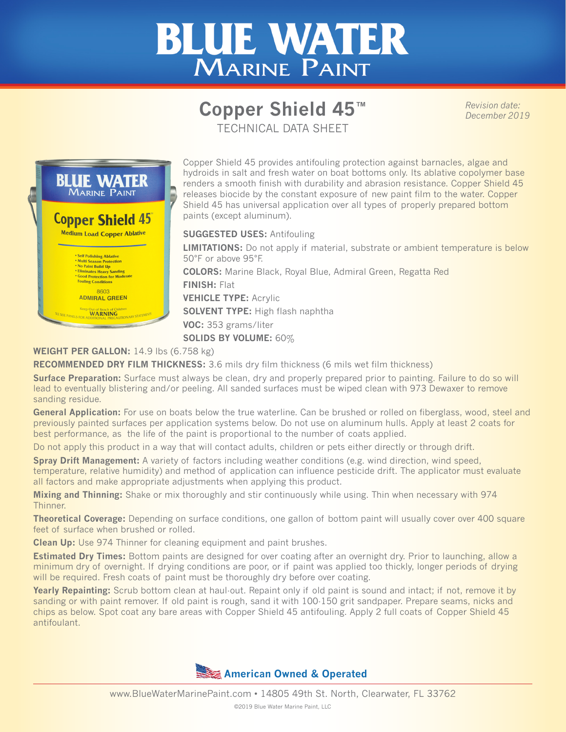## **BLUE WATER** MARINE PAINT

## **Copper Shield 45™** TECHNICAL DATA SHEET

*Revision date: December 2019*



Copper Shield 45 provides antifouling protection against barnacles, algae and hydroids in salt and fresh water on boat bottoms only. Its ablative copolymer base renders a smooth finish with durability and abrasion resistance. Copper Shield 45 releases biocide by the constant exposure of new paint film to the water. Copper Shield 45 has universal application over all types of properly prepared bottom paints (except aluminum).

**SUGGESTED USES:** Antifouling

**LIMITATIONS:** Do not apply if material, substrate or ambient temperature is below 50°F or above 95°F.

**COLORS:** Marine Black, Royal Blue, Admiral Green, Regatta Red **FINISH:** Flat **VEHICLE TYPE:** Acrylic **SOLVENT TYPE:** High flash naphtha **VOC:** 353 grams/liter **SOLIDS BY VOLUME:** 60%

## **WEIGHT PER GALLON:** 14.9 lbs (6.758 kg)

**RECOMMENDED DRY FILM THICKNESS:** 3.6 mils dry film thickness (6 mils wet film thickness)

**Surface Preparation:** Surface must always be clean, dry and properly prepared prior to painting. Failure to do so will lead to eventually blistering and/or peeling. All sanded surfaces must be wiped clean with 973 Dewaxer to remove sanding residue.

General Application: For use on boats below the true waterline. Can be brushed or rolled on fiberglass, wood, steel and previously painted surfaces per application systems below. Do not use on aluminum hulls. Apply at least 2 coats for best performance, as the life of the paint is proportional to the number of coats applied.

Do not apply this product in a way that will contact adults, children or pets either directly or through drift.

**Spray Drift Management:** A variety of factors including weather conditions (e.g. wind direction, wind speed, temperature, relative humidity) and method of application can influence pesticide drift. The applicator must evaluate all factors and make appropriate adjustments when applying this product.

**Mixing and Thinning:** Shake or mix thoroughly and stir continuously while using. Thin when necessary with 974 Thinner.

**Theoretical Coverage:** Depending on surface conditions, one gallon of bottom paint will usually cover over 400 square feet of surface when brushed or rolled.

**Clean Up:** Use 974 Thinner for cleaning equipment and paint brushes.

**Estimated Dry Times:** Bottom paints are designed for over coating after an overnight dry. Prior to launching, allow a minimum dry of overnight. If drying conditions are poor, or if paint was applied too thickly, longer periods of drying will be required. Fresh coats of paint must be thoroughly dry before over coating.

**Yearly Repainting:** Scrub bottom clean at haul-out. Repaint only if old paint is sound and intact; if not, remove it by sanding or with paint remover. If old paint is rough, sand it with 100-150 grit sandpaper. Prepare seams, nicks and chips as below. Spot coat any bare areas with Copper Shield 45 antifouling. Apply 2 full coats of Copper Shield 45 antifoulant.